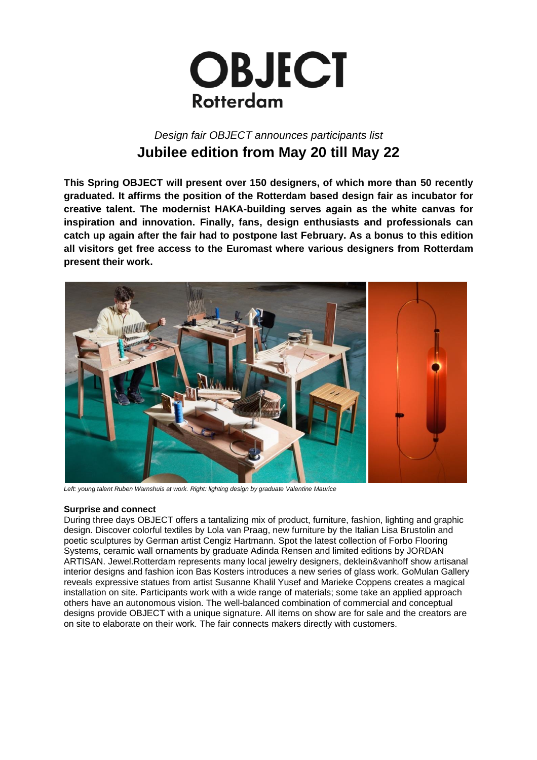

# *Design fair OBJECT announces participants list* **Jubilee edition from May 20 till May 22**

**This Spring OBJECT will present over 150 designers, of which more than 50 recently graduated. It affirms the position of the Rotterdam based design fair as incubator for creative talent. The modernist HAKA-building serves again as the white canvas for inspiration and innovation. Finally, fans, design enthusiasts and professionals can catch up again after the fair had to postpone last February. As a bonus to this edition all visitors get free access to the Euromast where various designers from Rotterdam present their work.** 



*Left: young talent Ruben Warnshuis at work. Right: lighting design by graduate Valentine Maurice*

## **Surprise and connect**

During three days OBJECT offers a tantalizing mix of product, furniture, fashion, lighting and graphic design. Discover colorful textiles by Lola van Praag, new furniture by the Italian Lisa Brustolin and poetic sculptures by German artist Cengiz Hartmann. Spot the latest collection of Forbo Flooring Systems, ceramic wall ornaments by graduate Adinda Rensen and limited editions by JORDAN ARTISAN. Jewel.Rotterdam represents many local jewelry designers, deklein&vanhoff show artisanal interior designs and fashion icon Bas Kosters introduces a new series of glass work. GoMulan Gallery reveals expressive statues from artist Susanne Khalil Yusef and Marieke Coppens creates a magical installation on site. Participants work with a wide range of materials; some take an applied approach others have an autonomous vision. The well-balanced combination of commercial and conceptual designs provide OBJECT with a unique signature. All items on show are for sale and the creators are on site to elaborate on their work. The fair connects makers directly with customers.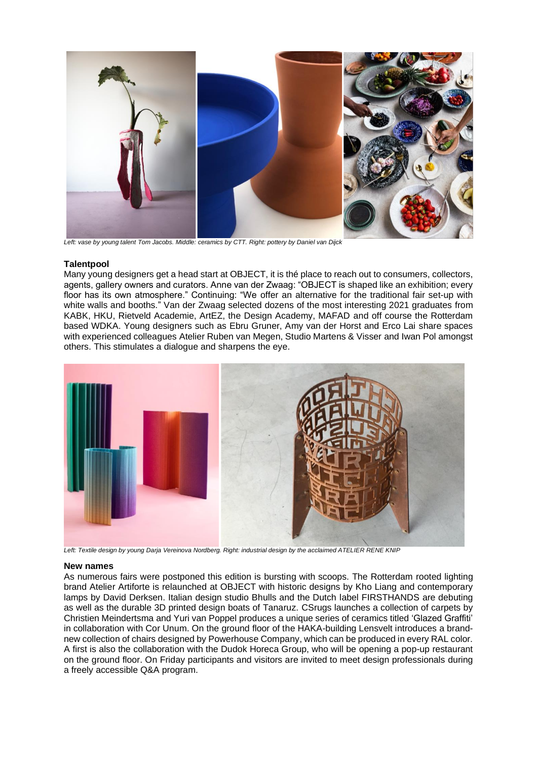

*Left: vase by young talent Tom Jacobs. Middle: ceramics by CTT. Right: pottery by Daniel van Dijck*

### **Talentpool**

Many young designers get a head start at OBJECT, it is thé place to reach out to consumers, collectors, agents, gallery owners and curators. Anne van der Zwaag: "OBJECT is shaped like an exhibition; every floor has its own atmosphere." Continuing: "We offer an alternative for the traditional fair set-up with white walls and booths." Van der Zwaag selected dozens of the most interesting 2021 graduates from KABK, HKU, Rietveld Academie, ArtEZ, the Design Academy, MAFAD and off course the Rotterdam based WDKA. Young designers such as Ebru Gruner, Amy van der Horst and Erco Lai share spaces with experienced colleagues Atelier Ruben van Megen, Studio Martens & Visser and Iwan Pol amongst others. This stimulates a dialogue and sharpens the eye.



*Left: Textile design by young Darja Vereinova Nordberg. Right: industrial design by the acclaimed ATELIER RENE KNIP*

#### **New names**

As numerous fairs were postponed this edition is bursting with scoops. The Rotterdam rooted lighting brand Atelier Artiforte is relaunched at OBJECT with historic designs by Kho Liang and contemporary lamps by David Derksen. Italian design studio Bhulls and the Dutch label FIRSTHANDS are debuting as well as the durable 3D printed design boats of Tanaruz. CSrugs launches a collection of carpets by Christien Meindertsma and Yuri van Poppel produces a unique series of ceramics titled 'Glazed Graffiti' in collaboration with Cor Unum. On the ground floor of the HAKA-building Lensvelt introduces a brandnew collection of chairs designed by Powerhouse Company, which can be produced in every RAL color. A first is also the collaboration with the Dudok Horeca Group, who will be opening a pop-up restaurant on the ground floor. On Friday participants and visitors are invited to meet design professionals during a freely accessible Q&A program.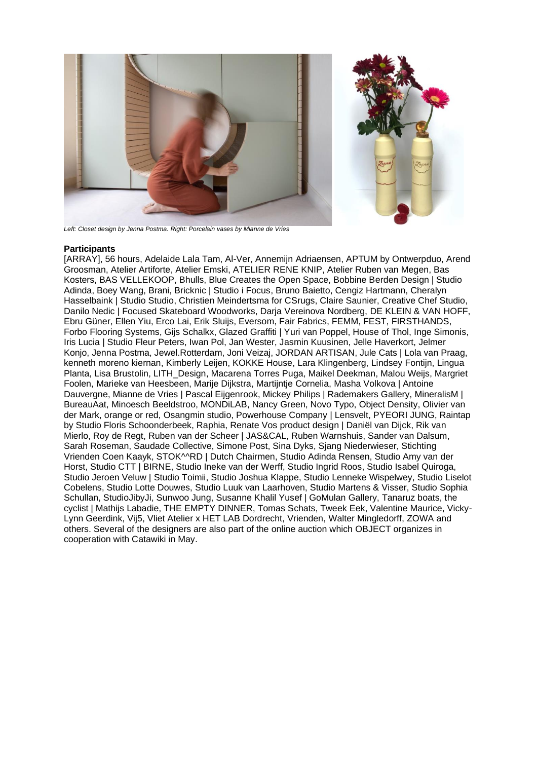

*Left: Closet design by Jenna Postma. Right: Porcelain vases by Mianne de Vries*

## **Participants**

[ARRAY], 56 hours, Adelaide Lala Tam, Al-Ver, Annemijn Adriaensen, APTUM by Ontwerpduo, Arend Groosman, Atelier Artiforte, Atelier Emski, ATELIER RENE KNIP, Atelier Ruben van Megen, Bas Kosters, BAS VELLEKOOP, Bhulls, Blue Creates the Open Space, Bobbine Berden Design | Studio Adinda, Boey Wang, Brani, Bricknic | Studio i Focus, Bruno Baietto, Cengiz Hartmann, Cheralyn Hasselbaink | Studio Studio, Christien Meindertsma for CSrugs, Claire Saunier, Creative Chef Studio, Danilo Nedic | Focused Skateboard Woodworks, Darja Vereinova Nordberg, DE KLEIN & VAN HOFF, Ebru Güner, Ellen Yiu, Erco Lai, Erik Sluijs, Eversom, Fair Fabrics, FEMM, FEST, FIRSTHANDS, Forbo Flooring Systems, Gijs Schalkx, Glazed Graffiti | Yuri van Poppel, House of Thol, Inge Simonis, Iris Lucia | Studio Fleur Peters, Iwan Pol, Jan Wester, Jasmin Kuusinen, Jelle Haverkort, Jelmer Konjo, Jenna Postma, Jewel.Rotterdam, Joni Veizaj, JORDAN ARTISAN, Jule Cats | Lola van Praag, kenneth moreno kiernan, Kimberly Leijen, KOKKE House, Lara Klingenberg, Lindsey Fontijn, Lingua Planta, Lisa Brustolin, LITH\_Design, Macarena Torres Puga, Maikel Deekman, Malou Weijs, Margriet Foolen, Marieke van Heesbeen, Marije Dijkstra, Martijntje Cornelia, Masha Volkova | Antoine Dauvergne, Mianne de Vries | Pascal Eijgenrook, Mickey Philips | Rademakers Gallery, MineralisM | BureauAat, Minoesch Beeldstroo, MONDiLAB, Nancy Green, Novo Typo, Object Density, Olivier van der Mark, orange or red, Osangmin studio, Powerhouse Company | Lensvelt, PYEORI JUNG, Raintap by Studio Floris Schoonderbeek, Raphia, Renate Vos product design | Daniël van Dijck, Rik van Mierlo, Roy de Regt, Ruben van der Scheer | JAS&CAL, Ruben Warnshuis, Sander van Dalsum, Sarah Roseman, Saudade Collective, Simone Post, Sina Dyks, Sjang Niederwieser, Stichting Vrienden Coen Kaayk, STOK^^RD | Dutch Chairmen, Studio Adinda Rensen, Studio Amy van der Horst, Studio CTT | BIRNE, Studio Ineke van der Werff, Studio Ingrid Roos, Studio Isabel Quiroga, Studio Jeroen Veluw | Studio Toimii, Studio Joshua Klappe, Studio Lenneke Wispelwey, Studio Liselot Cobelens, Studio Lotte Douwes, Studio Luuk van Laarhoven, Studio Martens & Visser, Studio Sophia Schullan, StudioJibyJi, Sunwoo Jung, Susanne Khalil Yusef | GoMulan Gallery, Tanaruz boats, the cyclist | Mathijs Labadie, THE EMPTY DINNER, Tomas Schats, Tweek Eek, Valentine Maurice, Vicky-Lynn Geerdink, Vij5, Vliet Atelier x HET LAB Dordrecht, Vrienden, Walter Mingledorff, ZOWA and others. Several of the designers are also part of the online auction which OBJECT organizes in cooperation with Catawiki in May.